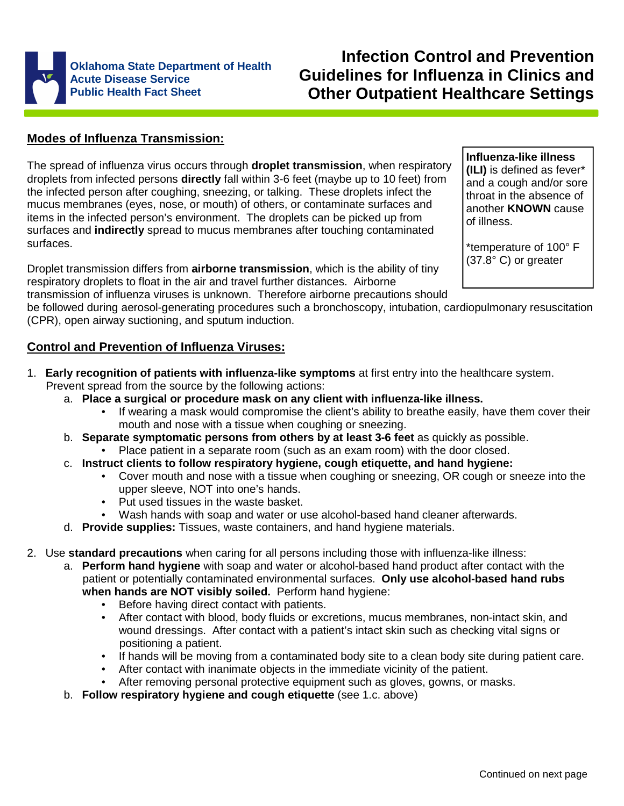

# **Infection Control and Prevention Guidelines for Influenza in Clinics and Other Outpatient Healthcare Settings**

# **Modes of Influenza Transmission:**

The spread of influenza virus occurs through **droplet transmission**, when respiratory droplets from infected persons **directly** fall within 3-6 feet (maybe up to 10 feet) from the infected person after coughing, sneezing, or talking. These droplets infect the mucus membranes (eyes, nose, or mouth) of others, or contaminate surfaces and items in the infected person's environment. The droplets can be picked up from surfaces and **indirectly** spread to mucus membranes after touching contaminated surfaces.

Droplet transmission differs from **airborne transmission**, which is the ability of tiny respiratory droplets to float in the air and travel further distances. Airborne transmission of influenza viruses is unknown. Therefore airborne precautions should

**Influenza-like illness (ILI)** is defined as fever\* and a cough and/or sore throat in the absence of another **KNOWN** cause of illness.

\*temperature of 100° F (37.8° C) or greater

be followed during aerosol-generating procedures such a bronchoscopy, intubation, cardiopulmonary resuscitation (CPR), open airway suctioning, and sputum induction.

# **Control and Prevention of Influenza Viruses:**

- 1. **Early recognition of patients with influenza-like symptoms** at first entry into the healthcare system. Prevent spread from the source by the following actions:
	- a. **Place a surgical or procedure mask on any client with influenza-like illness.**
		- If wearing a mask would compromise the client's ability to breathe easily, have them cover their mouth and nose with a tissue when coughing or sneezing.
	- b. **Separate symptomatic persons from others by at least 3-6 feet** as quickly as possible. • Place patient in a separate room (such as an exam room) with the door closed.
	- c. **Instruct clients to follow respiratory hygiene, cough etiquette, and hand hygiene:**
		- Cover mouth and nose with a tissue when coughing or sneezing, OR cough or sneeze into the upper sleeve, NOT into one's hands.
		- Put used tissues in the waste basket.
		- Wash hands with soap and water or use alcohol-based hand cleaner afterwards.
	- d. **Provide supplies:** Tissues, waste containers, and hand hygiene materials.
- 2. Use **standard precautions** when caring for all persons including those with influenza-like illness:
	- a. **Perform hand hygiene** with soap and water or alcohol-based hand product after contact with the patient or potentially contaminated environmental surfaces. **Only use alcohol-based hand rubs when hands are NOT visibly soiled.** Perform hand hygiene:
		- Before having direct contact with patients.
		- After contact with blood, body fluids or excretions, mucus membranes, non-intact skin, and wound dressings. After contact with a patient's intact skin such as checking vital signs or positioning a patient.
		- If hands will be moving from a contaminated body site to a clean body site during patient care.
		- After contact with inanimate objects in the immediate vicinity of the patient.
		- After removing personal protective equipment such as gloves, gowns, or masks.
	- b. **Follow respiratory hygiene and cough etiquette** (see 1.c. above)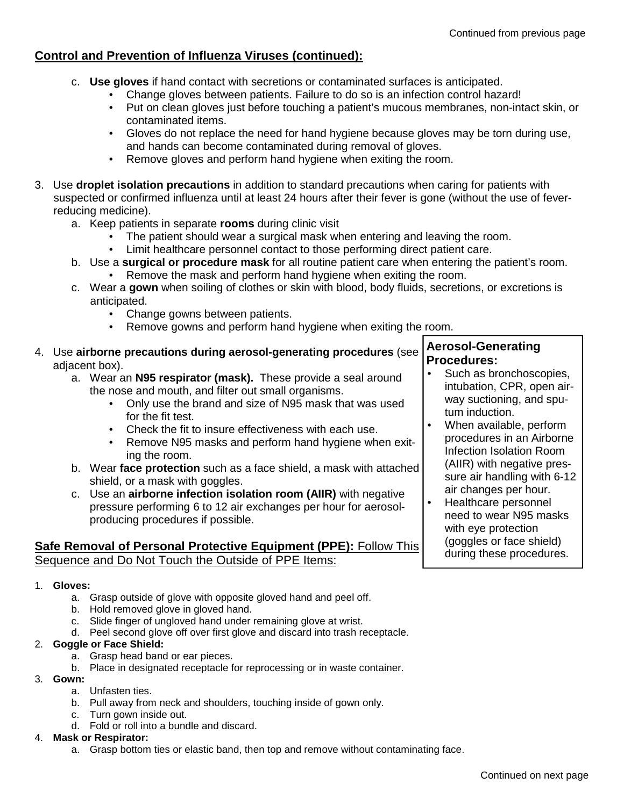# **Control and Prevention of Influenza Viruses (continued):**

- c. **Use gloves** if hand contact with secretions or contaminated surfaces is anticipated.
	- Change gloves between patients. Failure to do so is an infection control hazard!
	- Put on clean gloves just before touching a patient's mucous membranes, non-intact skin, or contaminated items.
	- Gloves do not replace the need for hand hygiene because gloves may be torn during use, and hands can become contaminated during removal of gloves.
	- Remove gloves and perform hand hygiene when exiting the room.
- 3. Use **droplet isolation precautions** in addition to standard precautions when caring for patients with suspected or confirmed influenza until at least 24 hours after their fever is gone (without the use of fever reducing medicine).
	- a. Keep patients in separate **rooms** during clinic visit
		- The patient should wear a surgical mask when entering and leaving the room.
		- Limit healthcare personnel contact to those performing direct patient care.
	- b. Use a **surgical or procedure mask** for all routine patient care when entering the patient's room.
		- Remove the mask and perform hand hygiene when exiting the room.
	- c. Wear a **gown** when soiling of clothes or skin with blood, body fluids, secretions, or excretions is anticipated.
		- Change gowns between patients.
		- Remove gowns and perform hand hygiene when exiting the room.
- 4. Use **airborne precautions during aerosol-generating procedures** (see adjacent box).
	- a. Wear an **N95 respirator (mask).** These provide a seal around the nose and mouth, and filter out small organisms.
		- Only use the brand and size of N95 mask that was used for the fit test.
		- Check the fit to insure effectiveness with each use.
		- Remove N95 masks and perform hand hygiene when exiting the room.
	- b. Wear **face protection** such as a face shield, a mask with attached shield, or a mask with goggles.
	- c. Use an **airborne infection isolation room (AIIR)** with negative pressure performing 6 to 12 air exchanges per hour for aerosolproducing procedures if possible.

# **Safe Removal of Personal Protective Equipment (PPE):** Follow This Sequence and Do Not Touch the Outside of PPE Items:

#### 1. **Gloves:**

- a. Grasp outside of glove with opposite gloved hand and peel off.
- b. Hold removed glove in gloved hand.
- c. Slide finger of ungloved hand under remaining glove at wrist.
- d. Peel second glove off over first glove and discard into trash receptacle.

#### 2. **Goggle or Face Shield:**

- a. Grasp head band or ear pieces.
- b. Place in designated receptacle for reprocessing or in waste container.
- 3. **Gown:**
	- a. Unfasten ties.
	- b. Pull away from neck and shoulders, touching inside of gown only.
	- c. Turn gown inside out.
	- d. Fold or roll into a bundle and discard.

#### 4. **Mask or Respirator:**

a. Grasp bottom ties or elastic band, then top and remove without contaminating face.

# **Aerosol-Generating Procedures:**

- Such as bronchoscopies, intubation, CPR, open airway suctioning, and sputum induction.
- When available, perform procedures in an Airborne Infection Isolation Room (AIIR) with negative pressure air handling with 6-12 air changes per hour.
- Healthcare personnel need to wear N95 masks with eye protection (goggles or face shield) during these procedures.